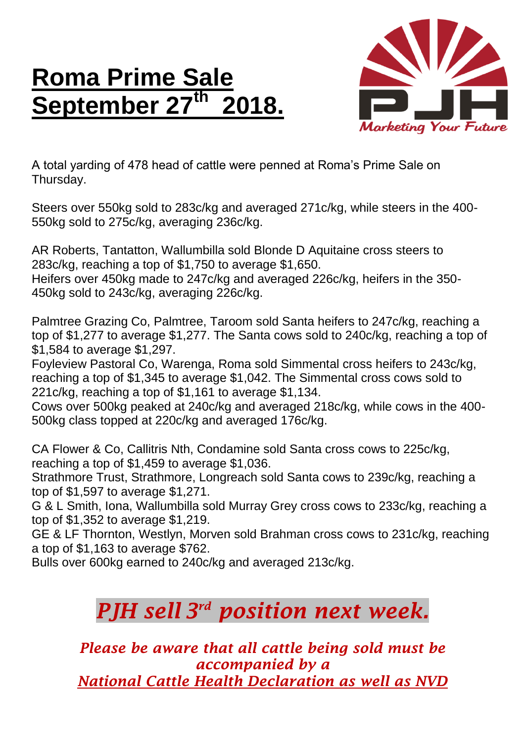## **Roma Prime Sale** September 27<sup>th</sup> **th 2018.**



A total yarding of 478 head of cattle were penned at Roma's Prime Sale on Thursday.

Steers over 550kg sold to 283c/kg and averaged 271c/kg, while steers in the 400- 550kg sold to 275c/kg, averaging 236c/kg.

AR Roberts, Tantatton, Wallumbilla sold Blonde D Aquitaine cross steers to 283c/kg, reaching a top of \$1,750 to average \$1,650. Heifers over 450kg made to 247c/kg and averaged 226c/kg, heifers in the 350- 450kg sold to 243c/kg, averaging 226c/kg.

Palmtree Grazing Co, Palmtree, Taroom sold Santa heifers to 247c/kg, reaching a top of \$1,277 to average \$1,277. The Santa cows sold to 240c/kg, reaching a top of \$1,584 to average \$1,297.

Foyleview Pastoral Co, Warenga, Roma sold Simmental cross heifers to 243c/kg, reaching a top of \$1,345 to average \$1,042. The Simmental cross cows sold to 221c/kg, reaching a top of \$1,161 to average \$1,134.

Cows over 500kg peaked at 240c/kg and averaged 218c/kg, while cows in the 400- 500kg class topped at 220c/kg and averaged 176c/kg.

CA Flower & Co, Callitris Nth, Condamine sold Santa cross cows to 225c/kg, reaching a top of \$1,459 to average \$1,036.

Strathmore Trust, Strathmore, Longreach sold Santa cows to 239c/kg, reaching a top of \$1,597 to average \$1,271.

G & L Smith, Iona, Wallumbilla sold Murray Grey cross cows to 233c/kg, reaching a top of \$1,352 to average \$1,219.

GE & LF Thornton, Westlyn, Morven sold Brahman cross cows to 231c/kg, reaching a top of \$1,163 to average \$762.

Bulls over 600kg earned to 240c/kg and averaged 213c/kg.

## *PJH sell 3 rd position next week.*

*Please be aware that all cattle being sold must be accompanied by a National Cattle Health Declaration as well as NVD*